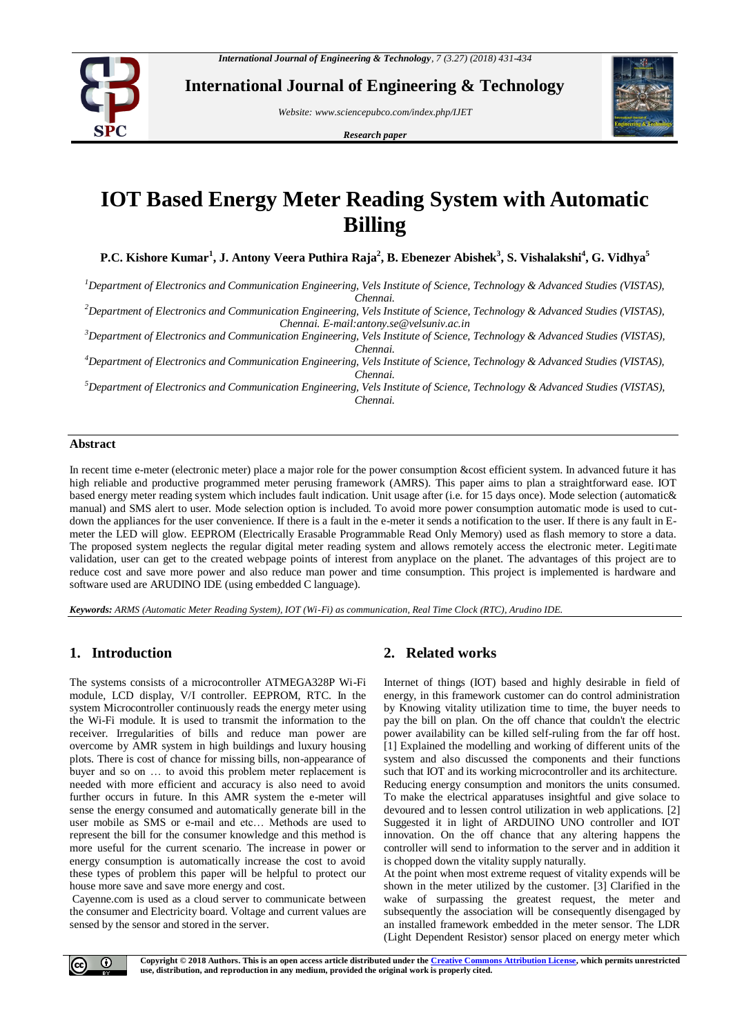

**International Journal of Engineering & Technology**

*Website: www.sciencepubco.com/index.php/IJET*

*Research paper*



# **IOT Based Energy Meter Reading System with Automatic Billing**

**P.C. Kishore Kumar<sup>1</sup> , J. Antony Veera Puthira Raja<sup>2</sup> , B. Ebenezer Abishek<sup>3</sup> , S. Vishalakshi<sup>4</sup> , G. Vidhya<sup>5</sup>**

*<sup>1</sup>Department of Electronics and Communication Engineering, Vels Institute of Science, Technology & Advanced Studies (VISTAS), Chennai.*

*<sup>2</sup>Department of Electronics and Communication Engineering, Vels Institute of Science, Technology & Advanced Studies (VISTAS), Chennai. E-mail:antony.se@velsuniv.ac.in*

*<sup>3</sup>Department of Electronics and Communication Engineering, Vels Institute of Science, Technology & Advanced Studies (VISTAS), Chennai.*

*<sup>4</sup>Department of Electronics and Communication Engineering, Vels Institute of Science, Technology & Advanced Studies (VISTAS), Chennai.*

*<sup>5</sup>Department of Electronics and Communication Engineering, Vels Institute of Science, Technology & Advanced Studies (VISTAS), Chennai.*

#### **Abstract**

In recent time e-meter (electronic meter) place a major role for the power consumption &cost efficient system. In advanced future it has high reliable and productive programmed meter perusing framework (AMRS). This paper aims to plan a straightforward ease. IOT based energy meter reading system which includes fault indication. Unit usage after (i.e. for 15 days once). Mode selection (automatic& manual) and SMS alert to user. Mode selection option is included. To avoid more power consumption automatic mode is used to cutdown the appliances for the user convenience. If there is a fault in the e-meter it sends a notification to the user. If there is any fault in Emeter the LED will glow. EEPROM (Electrically Erasable Programmable Read Only Memory) used as flash memory to store a data. The proposed system neglects the regular digital meter reading system and allows remotely access the electronic meter. Legitimate validation, user can get to the created webpage points of interest from anyplace on the planet. The advantages of this project are to reduce cost and save more power and also reduce man power and time consumption. This project is implemented is hardware and software used are ARUDINO IDE (using embedded C language).

*Keywords: ARMS (Automatic Meter Reading System), IOT (Wi-Fi) as communication, Real Time Clock (RTC), Arudino IDE.*

# **1. Introduction**

The systems consists of a microcontroller ATMEGA328P Wi-Fi module, LCD display, V/I controller. EEPROM, RTC. In the system Microcontroller continuously reads the energy meter using the Wi-Fi module. It is used to transmit the information to the receiver. Irregularities of bills and reduce man power are overcome by AMR system in high buildings and luxury housing plots. There is cost of chance for missing bills, non-appearance of buyer and so on … to avoid this problem meter replacement is needed with more efficient and accuracy is also need to avoid further occurs in future. In this AMR system the e-meter will sense the energy consumed and automatically generate bill in the user mobile as SMS or e-mail and etc… Methods are used to represent the bill for the consumer knowledge and this method is more useful for the current scenario. The increase in power or energy consumption is automatically increase the cost to avoid these types of problem this paper will be helpful to protect our house more save and save more energy and cost.

Cayenne.com is used as a cloud server to communicate between the consumer and Electricity board. Voltage and current values are sensed by the sensor and stored in the server.

# **2. Related works**

Internet of things (IOT) based and highly desirable in field of energy, in this framework customer can do control administration by Knowing vitality utilization time to time, the buyer needs to pay the bill on plan. On the off chance that couldn't the electric power availability can be killed self-ruling from the far off host. [1] Explained the modelling and working of different units of the system and also discussed the components and their functions such that IOT and its working microcontroller and its architecture. Reducing energy consumption and monitors the units consumed. To make the electrical apparatuses insightful and give solace to devoured and to lessen control utilization in web applications. [2] Suggested it in light of ARDUINO UNO controller and IOT innovation. On the off chance that any altering happens the controller will send to information to the server and in addition it is chopped down the vitality supply naturally.

At the point when most extreme request of vitality expends will be shown in the meter utilized by the customer. [3] Clarified in the wake of surpassing the greatest request, the meter and subsequently the association will be consequently disengaged by an installed framework embedded in the meter sensor. The LDR (Light Dependent Resistor) sensor placed on energy meter which

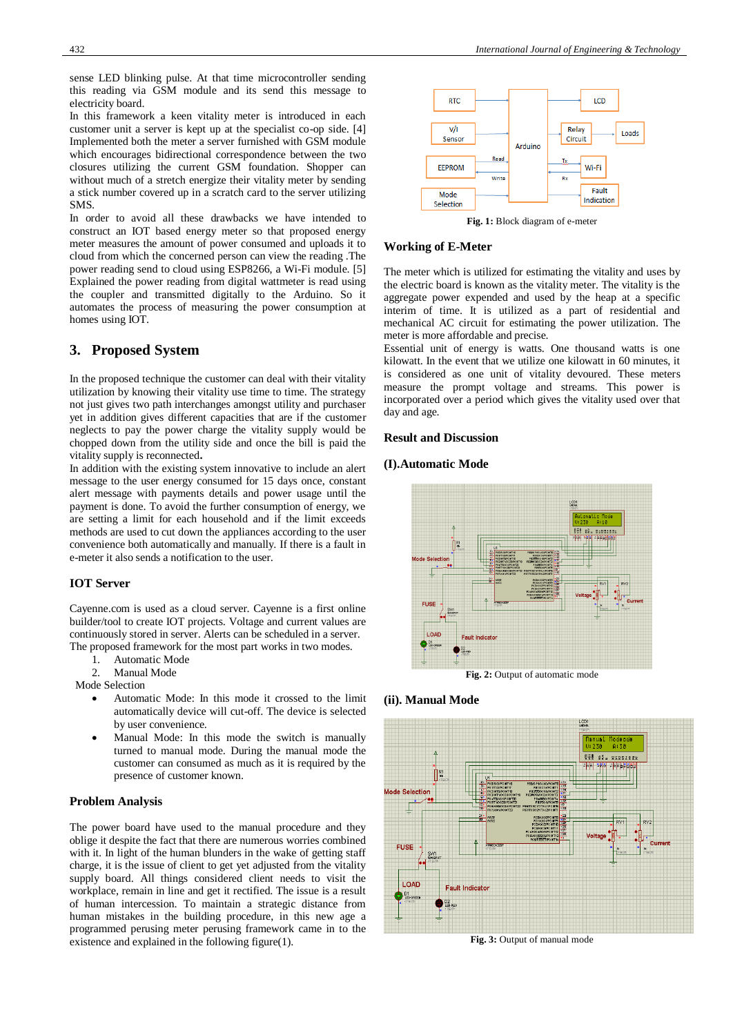sense LED blinking pulse. At that time microcontroller sending this reading via GSM module and its send this message to electricity board.

In this framework a keen vitality meter is introduced in each customer unit a server is kept up at the specialist co-op side. [4] Implemented both the meter a server furnished with GSM module which encourages bidirectional correspondence between the two closures utilizing the current GSM foundation. Shopper can without much of a stretch energize their vitality meter by sending a stick number covered up in a scratch card to the server utilizing SMS.

In order to avoid all these drawbacks we have intended to construct an IOT based energy meter so that proposed energy meter measures the amount of power consumed and uploads it to cloud from which the concerned person can view the reading .The power reading send to cloud using ESP8266, a Wi-Fi module. [5] Explained the power reading from digital wattmeter is read using the coupler and transmitted digitally to the Arduino. So it automates the process of measuring the power consumption at homes using IOT.

# **3. Proposed System**

In the proposed technique the customer can deal with their vitality utilization by knowing their vitality use time to time. The strategy not just gives two path interchanges amongst utility and purchaser yet in addition gives different capacities that are if the customer neglects to pay the power charge the vitality supply would be chopped down from the utility side and once the bill is paid the vitality supply is reconnected**.**

In addition with the existing system innovative to include an alert message to the user energy consumed for 15 days once, constant alert message with payments details and power usage until the payment is done. To avoid the further consumption of energy, we are setting a limit for each household and if the limit exceeds methods are used to cut down the appliances according to the user convenience both automatically and manually. If there is a fault in e-meter it also sends a notification to the user.

### **IOT Server**

Cayenne.com is used as a cloud server. Cayenne is a first online builder/tool to create IOT projects. Voltage and current values are continuously stored in server. Alerts can be scheduled in a server. The proposed framework for the most part works in two modes.

- 1. Automatic Mode
- 2. Manual Mode
- Mode Selection
	- Automatic Mode: In this mode it crossed to the limit automatically device will cut-off. The device is selected by user convenience.
	- Manual Mode: In this mode the switch is manually turned to manual mode. During the manual mode the customer can consumed as much as it is required by the presence of customer known.

### **Problem Analysis**

The power board have used to the manual procedure and they oblige it despite the fact that there are numerous worries combined with it. In light of the human blunders in the wake of getting staff charge, it is the issue of client to get yet adjusted from the vitality supply board. All things considered client needs to visit the workplace, remain in line and get it rectified. The issue is a result of human intercession. To maintain a strategic distance from human mistakes in the building procedure, in this new age a programmed perusing meter perusing framework came in to the existence and explained in the following figure(1).



**Fig. 1:** Block diagram of e-meter

#### **Working of E-Meter**

The meter which is utilized for estimating the vitality and uses by the electric board is known as the vitality meter. The vitality is the aggregate power expended and used by the heap at a specific interim of time. It is utilized as a part of residential and mechanical AC circuit for estimating the power utilization. The meter is more affordable and precise.

Essential unit of energy is watts. One thousand watts is one kilowatt. In the event that we utilize one kilowatt in 60 minutes, it is considered as one unit of vitality devoured. These meters measure the prompt voltage and streams. This power is incorporated over a period which gives the vitality used over that day and age.

## **Result and Discussion**

#### **(I).Automatic Mode**



**Fig. 2:** Output of automatic mode

#### **(ii). Manual Mode**



**Fig. 3:** Output of manual mode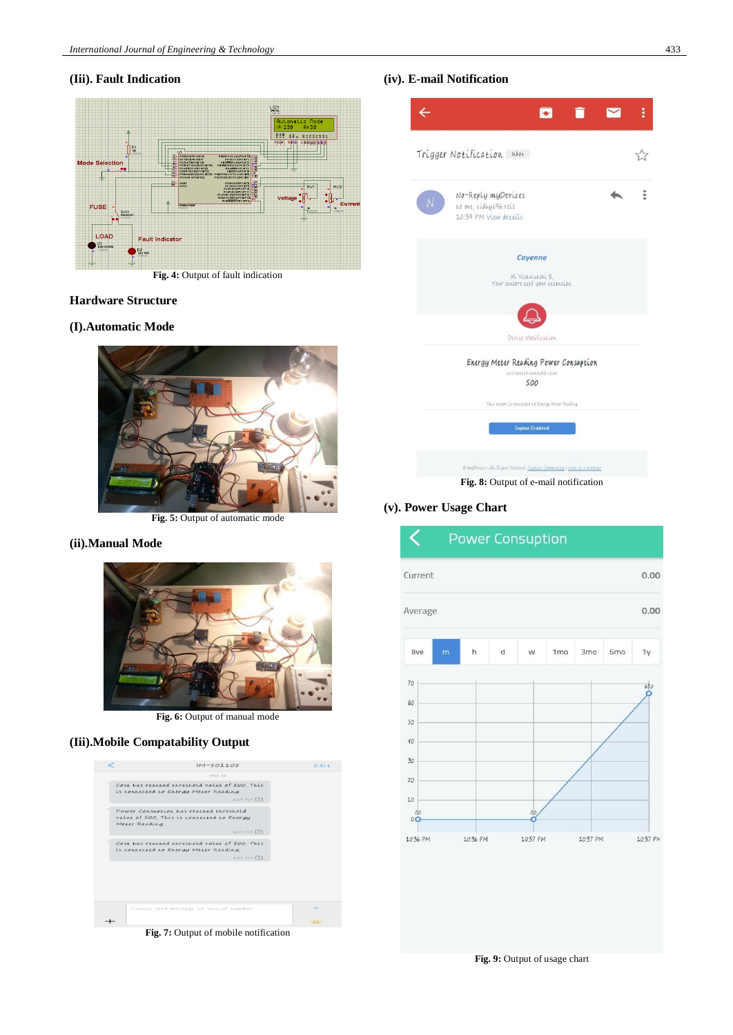# **(Iii). Fault Indication**



**Fig. 4:** Output of fault indication

### **Hardware Structure**

### **(I).Automatic Mode**



### **(ii).Manual Mode**



**Fig. 6:** Output of manual mode

# **(Iii).Mobile Compatability Output**



# **(iv). E-mail Notification**



# **(v). Power Usage Chart**



**Fig. 9:** Output of usage chart